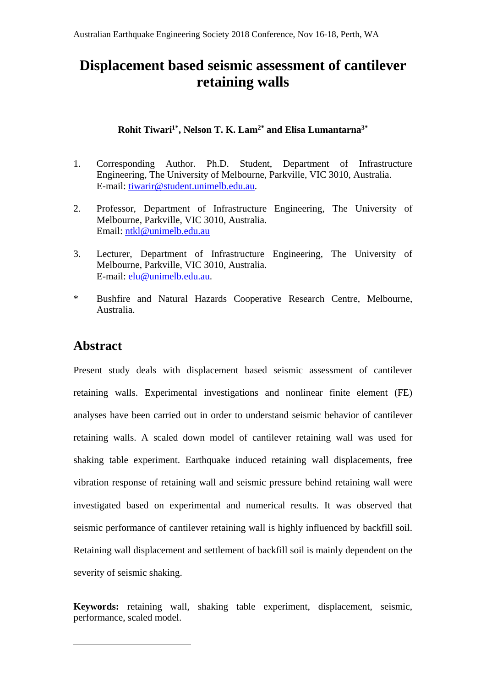# **Displacement based seismic assessment of cantilever retaining walls**

## **Rohit Tiwari1\*, Nelson T. K. Lam2\* and Elisa Lumantarna3\***

- 1. Corresponding Author. Ph.D. Student, Department of Infrastructure Engineering, The University of Melbourne, Parkville, VIC 3010, Australia. E-mail: tiwarir@student.unimelb.edu.au.
- 2. Professor, Department of Infrastructure Engineering, The University of Melbourne, Parkville, VIC 3010, Australia. Email: ntkl@unimelb.edu.au
- 3. Lecturer, Department of Infrastructure Engineering, The University of Melbourne, Parkville, VIC 3010, Australia. E-mail: elu@unimelb.edu.au.
- \* Bushfire and Natural Hazards Cooperative Research Centre, Melbourne, Australia.

## **Abstract**

1

Present study deals with displacement based seismic assessment of cantilever retaining walls. Experimental investigations and nonlinear finite element (FE) analyses have been carried out in order to understand seismic behavior of cantilever retaining walls. A scaled down model of cantilever retaining wall was used for shaking table experiment. Earthquake induced retaining wall displacements, free vibration response of retaining wall and seismic pressure behind retaining wall were investigated based on experimental and numerical results. It was observed that seismic performance of cantilever retaining wall is highly influenced by backfill soil. Retaining wall displacement and settlement of backfill soil is mainly dependent on the severity of seismic shaking.

**Keywords:** retaining wall, shaking table experiment, displacement, seismic, performance, scaled model.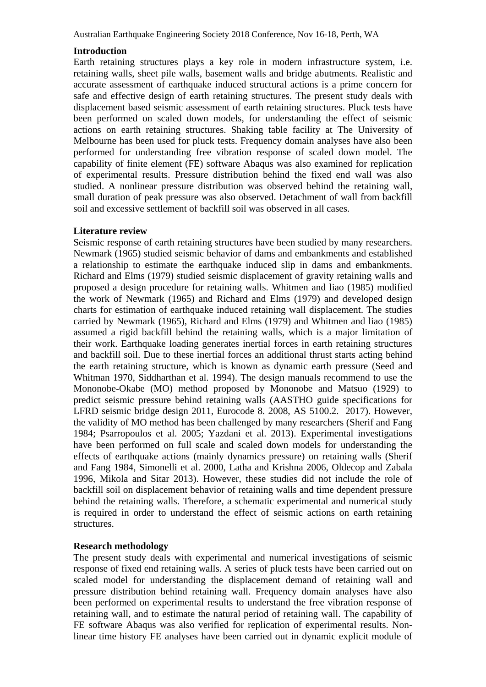Australian Earthquake Engineering Society 2018 Conference, Nov 16-18, Perth, WA

## **Introduction**

Earth retaining structures plays a key role in modern infrastructure system, i.e. retaining walls, sheet pile walls, basement walls and bridge abutments. Realistic and accurate assessment of earthquake induced structural actions is a prime concern for safe and effective design of earth retaining structures. The present study deals with displacement based seismic assessment of earth retaining structures. Pluck tests have been performed on scaled down models, for understanding the effect of seismic actions on earth retaining structures. Shaking table facility at The University of Melbourne has been used for pluck tests. Frequency domain analyses have also been performed for understanding free vibration response of scaled down model. The capability of finite element (FE) software Abaqus was also examined for replication of experimental results. Pressure distribution behind the fixed end wall was also studied. A nonlinear pressure distribution was observed behind the retaining wall, small duration of peak pressure was also observed. Detachment of wall from backfill soil and excessive settlement of backfill soil was observed in all cases.

### **Literature review**

Seismic response of earth retaining structures have been studied by many researchers. Newmark (1965) studied seismic behavior of dams and embankments and established a relationship to estimate the earthquake induced slip in dams and embankments. Richard and Elms (1979) studied seismic displacement of gravity retaining walls and proposed a design procedure for retaining walls. Whitmen and liao (1985) modified the work of Newmark (1965) and Richard and Elms (1979) and developed design charts for estimation of earthquake induced retaining wall displacement. The studies carried by Newmark (1965), Richard and Elms (1979) and Whitmen and liao (1985) assumed a rigid backfill behind the retaining walls, which is a major limitation of their work. Earthquake loading generates inertial forces in earth retaining structures and backfill soil. Due to these inertial forces an additional thrust starts acting behind the earth retaining structure, which is known as dynamic earth pressure (Seed and Whitman 1970, Siddharthan et al. 1994). The design manuals recommend to use the Mononobe-Okabe (MO) method proposed by Mononobe and Matsuo (1929) to predict seismic pressure behind retaining walls (AASTHO guide specifications for LFRD seismic bridge design 2011, Eurocode 8. 2008, AS 5100.2. 2017). However, the validity of MO method has been challenged by many researchers (Sherif and Fang 1984; Psarropoulos et al. 2005; Yazdani et al. 2013). Experimental investigations have been performed on full scale and scaled down models for understanding the effects of earthquake actions (mainly dynamics pressure) on retaining walls (Sherif and Fang 1984, Simonelli et al. 2000, Latha and Krishna 2006, Oldecop and Zabala 1996, Mikola and Sitar 2013). However, these studies did not include the role of backfill soil on displacement behavior of retaining walls and time dependent pressure behind the retaining walls. Therefore, a schematic experimental and numerical study is required in order to understand the effect of seismic actions on earth retaining structures.

## **Research methodology**

The present study deals with experimental and numerical investigations of seismic response of fixed end retaining walls. A series of pluck tests have been carried out on scaled model for understanding the displacement demand of retaining wall and pressure distribution behind retaining wall. Frequency domain analyses have also been performed on experimental results to understand the free vibration response of retaining wall, and to estimate the natural period of retaining wall. The capability of FE software Abaqus was also verified for replication of experimental results. Nonlinear time history FE analyses have been carried out in dynamic explicit module of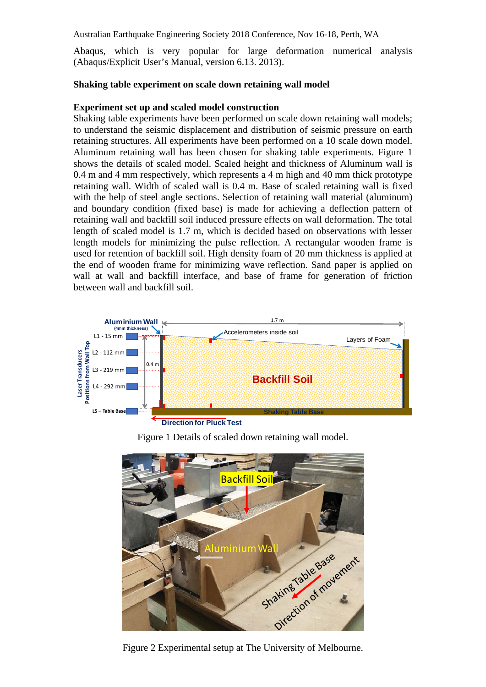Australian Earthquake Engineering Society 2018 Conference, Nov 16-18, Perth, WA

Abaqus, which is very popular for large deformation numerical analysis (Abaqus/Explicit User's Manual, version 6.13. 2013).

## **Shaking table experiment on scale down retaining wall model**

## **Experiment set up and scaled model construction**

Shaking table experiments have been performed on scale down retaining wall models; to understand the seismic displacement and distribution of seismic pressure on earth retaining structures. All experiments have been performed on a 10 scale down model. Aluminum retaining wall has been chosen for shaking table experiments. Figure 1 shows the details of scaled model. Scaled height and thickness of Aluminum wall is 0.4 m and 4 mm respectively, which represents a 4 m high and 40 mm thick prototype retaining wall. Width of scaled wall is 0.4 m. Base of scaled retaining wall is fixed with the help of steel angle sections. Selection of retaining wall material (aluminum) and boundary condition (fixed base) is made for achieving a deflection pattern of retaining wall and backfill soil induced pressure effects on wall deformation. The total length of scaled model is 1.7 m, which is decided based on observations with lesser length models for minimizing the pulse reflection. A rectangular wooden frame is used for retention of backfill soil. High density foam of 20 mm thickness is applied at the end of wooden frame for minimizing wave reflection. Sand paper is applied on wall at wall and backfill interface, and base of frame for generation of friction between wall and backfill soil.



Figure 1 Details of scaled down retaining wall model.



Figure 2 Experimental setup at The University of Melbourne.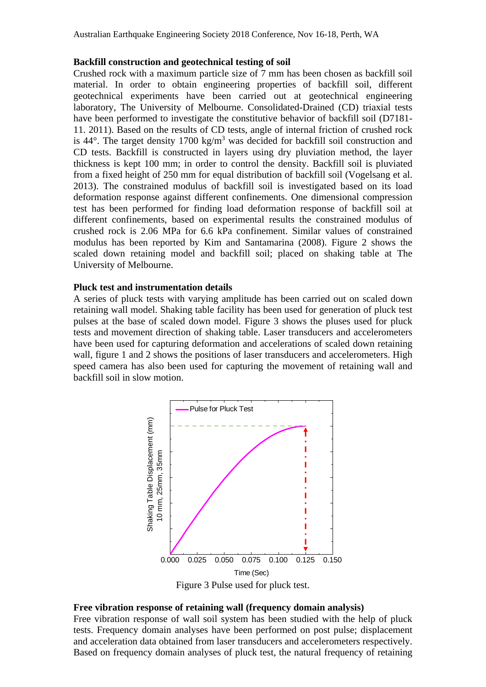#### **Backfill construction and geotechnical testing of soil**

Crushed rock with a maximum particle size of 7 mm has been chosen as backfill soil material. In order to obtain engineering properties of backfill soil, different geotechnical experiments have been carried out at geotechnical engineering laboratory, The University of Melbourne. Consolidated-Drained (CD) triaxial tests have been performed to investigate the constitutive behavior of backfill soil (D7181- 11. 2011). Based on the results of CD tests, angle of internal friction of crushed rock is  $44^{\circ}$ . The target density 1700 kg/m<sup>3</sup> was decided for backfill soil construction and CD tests. Backfill is constructed in layers using dry pluviation method, the layer thickness is kept 100 mm; in order to control the density. Backfill soil is pluviated from a fixed height of 250 mm for equal distribution of backfill soil (Vogelsang et al. 2013). The constrained modulus of backfill soil is investigated based on its load deformation response against different confinements. One dimensional compression test has been performed for finding load deformation response of backfill soil at different confinements, based on experimental results the constrained modulus of crushed rock is 2.06 MPa for 6.6 kPa confinement. Similar values of constrained modulus has been reported by Kim and Santamarina (2008). Figure 2 shows the scaled down retaining model and backfill soil; placed on shaking table at The University of Melbourne.

#### **Pluck test and instrumentation details**

A series of pluck tests with varying amplitude has been carried out on scaled down retaining wall model. Shaking table facility has been used for generation of pluck test pulses at the base of scaled down model. Figure 3 shows the pluses used for pluck tests and movement direction of shaking table. Laser transducers and accelerometers have been used for capturing deformation and accelerations of scaled down retaining wall, figure 1 and 2 shows the positions of laser transducers and accelerometers. High speed camera has also been used for capturing the movement of retaining wall and backfill soil in slow motion.



#### **Free vibration response of retaining wall (frequency domain analysis)**

Free vibration response of wall soil system has been studied with the help of pluck tests. Frequency domain analyses have been performed on post pulse; displacement and acceleration data obtained from laser transducers and accelerometers respectively. Based on frequency domain analyses of pluck test, the natural frequency of retaining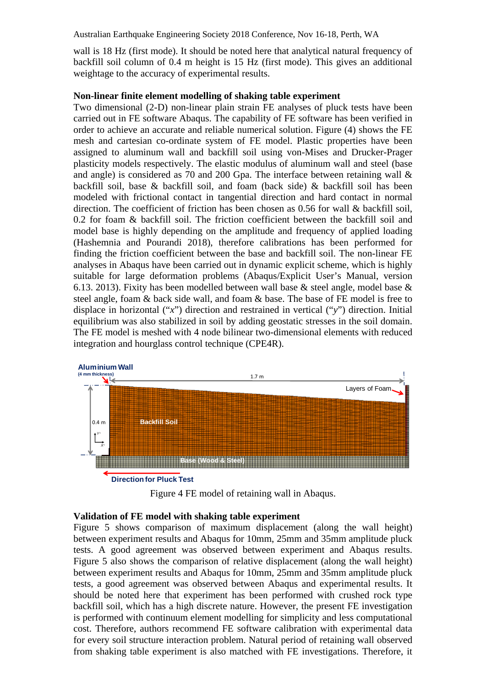Australian Earthquake Engineering Society 2018 Conference, Nov 16-18, Perth, WA

wall is 18 Hz (first mode). It should be noted here that analytical natural frequency of backfill soil column of 0.4 m height is 15 Hz (first mode). This gives an additional weightage to the accuracy of experimental results.

#### **Non-linear finite element modelling of shaking table experiment**

Two dimensional (2-D) non-linear plain strain FE analyses of pluck tests have been carried out in FE software Abaqus. The capability of FE software has been verified in order to achieve an accurate and reliable numerical solution. Figure (4) shows the FE mesh and cartesian co-ordinate system of FE model. Plastic properties have been assigned to aluminum wall and backfill soil using von-Mises and Drucker-Prager plasticity models respectively. The elastic modulus of aluminum wall and steel (base and angle) is considered as 70 and 200 Gpa. The interface between retaining wall & backfill soil, base & backfill soil, and foam (back side) & backfill soil has been modeled with frictional contact in tangential direction and hard contact in normal direction. The coefficient of friction has been chosen as 0.56 for wall & backfill soil, 0.2 for foam & backfill soil. The friction coefficient between the backfill soil and model base is highly depending on the amplitude and frequency of applied loading (Hashemnia and Pourandi 2018), therefore calibrations has been performed for finding the friction coefficient between the base and backfill soil. The non-linear FE analyses in Abaqus have been carried out in dynamic explicit scheme, which is highly suitable for large deformation problems (Abaqus/Explicit User's Manual, version 6.13. 2013). Fixity has been modelled between wall base & steel angle, model base & steel angle, foam & back side wall, and foam & base. The base of FE model is free to displace in horizontal ("*x*") direction and restrained in vertical ("*y*") direction. Initial equilibrium was also stabilized in soil by adding geostatic stresses in the soil domain. The FE model is meshed with 4 node bilinear two-dimensional elements with reduced integration and hourglass control technique (CPE4R).



Figure 4 FE model of retaining wall in Abaqus.

## **Validation of FE model with shaking table experiment**

Figure 5 shows comparison of maximum displacement (along the wall height) between experiment results and Abaqus for 10mm, 25mm and 35mm amplitude pluck tests. A good agreement was observed between experiment and Abaqus results. Figure 5 also shows the comparison of relative displacement (along the wall height) between experiment results and Abaqus for 10mm, 25mm and 35mm amplitude pluck tests, a good agreement was observed between Abaqus and experimental results. It should be noted here that experiment has been performed with crushed rock type backfill soil, which has a high discrete nature. However, the present FE investigation is performed with continuum element modelling for simplicity and less computational cost. Therefore, authors recommend FE software calibration with experimental data for every soil structure interaction problem. Natural period of retaining wall observed from shaking table experiment is also matched with FE investigations. Therefore, it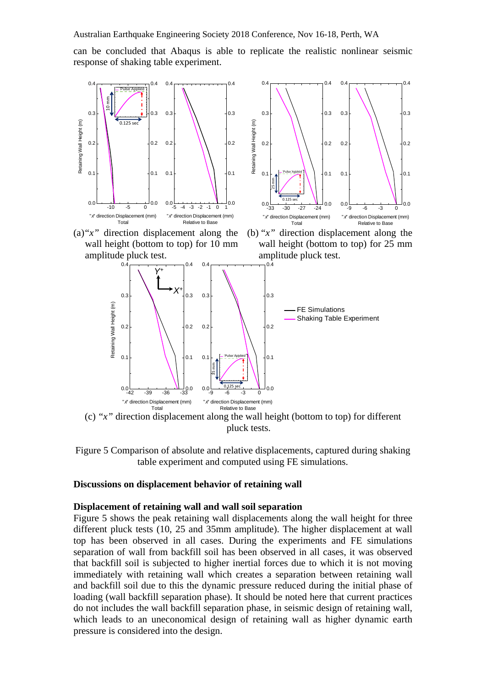can be concluded that Abaqus is able to replicate the realistic nonlinear seismic response of shaking table experiment.



(c) "*x"* direction displacement along the wall height (bottom to top) for different pluck tests.

Figure 5 Comparison of absolute and relative displacements, captured during shaking table experiment and computed using FE simulations.

#### **Discussions on displacement behavior of retaining wall**

#### **Displacement of retaining wall and wall soil separation**

Figure 5 shows the peak retaining wall displacements along the wall height for three different pluck tests (10, 25 and 35mm amplitude). The higher displacement at wall top has been observed in all cases. During the experiments and FE simulations separation of wall from backfill soil has been observed in all cases, it was observed that backfill soil is subjected to higher inertial forces due to which it is not moving immediately with retaining wall which creates a separation between retaining wall and backfill soil due to this the dynamic pressure reduced during the initial phase of loading (wall backfill separation phase). It should be noted here that current practices do not includes the wall backfill separation phase, in seismic design of retaining wall, which leads to an uneconomical design of retaining wall as higher dynamic earth pressure is considered into the design.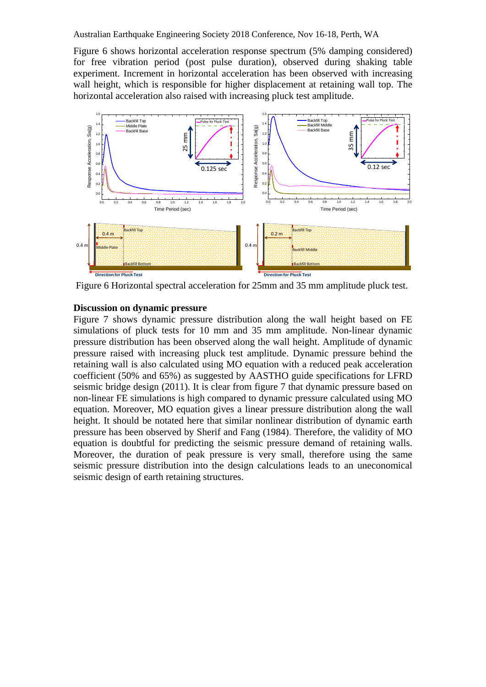Figure 6 shows horizontal acceleration response spectrum (5% damping considered) for free vibration period (post pulse duration), observed during shaking table experiment. Increment in horizontal acceleration has been observed with increasing wall height, which is responsible for higher displacement at retaining wall top. The horizontal acceleration also raised with increasing pluck test amplitude.



Figure 6 Horizontal spectral acceleration for 25mm and 35 mm amplitude pluck test.

### **Discussion on dynamic pressure**

Figure 7 shows dynamic pressure distribution along the wall height based on FE simulations of pluck tests for 10 mm and 35 mm amplitude. Non-linear dynamic pressure distribution has been observed along the wall height. Amplitude of dynamic pressure raised with increasing pluck test amplitude. Dynamic pressure behind the retaining wall is also calculated using MO equation with a reduced peak acceleration coefficient (50% and 65%) as suggested by AASTHO guide specifications for LFRD seismic bridge design (2011). It is clear from figure 7 that dynamic pressure based on non-linear FE simulations is high compared to dynamic pressure calculated using MO equation. Moreover, MO equation gives a linear pressure distribution along the wall height. It should be notated here that similar nonlinear distribution of dynamic earth pressure has been observed by Sherif and Fang (1984). Therefore, the validity of MO equation is doubtful for predicting the seismic pressure demand of retaining walls. Moreover, the duration of peak pressure is very small, therefore using the same seismic pressure distribution into the design calculations leads to an uneconomical seismic design of earth retaining structures.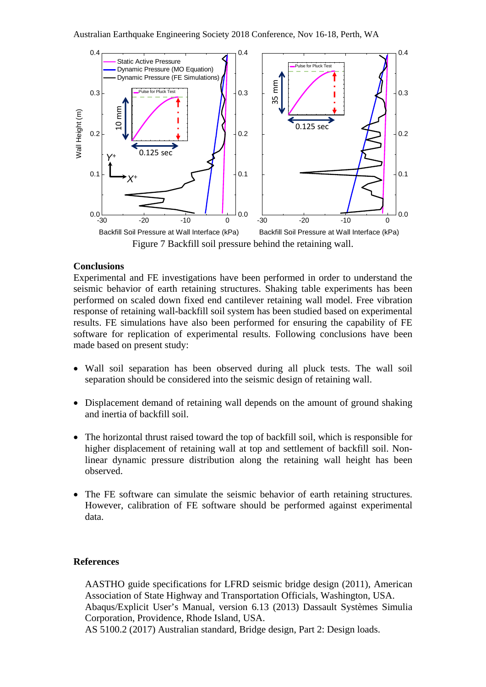

## **Conclusions**

Experimental and FE investigations have been performed in order to understand the seismic behavior of earth retaining structures. Shaking table experiments has been performed on scaled down fixed end cantilever retaining wall model. Free vibration response of retaining wall-backfill soil system has been studied based on experimental results. FE simulations have also been performed for ensuring the capability of FE software for replication of experimental results. Following conclusions have been made based on present study:

- Wall soil separation has been observed during all pluck tests. The wall soil separation should be considered into the seismic design of retaining wall.
- Displacement demand of retaining wall depends on the amount of ground shaking and inertia of backfill soil.
- The horizontal thrust raised toward the top of backfill soil, which is responsible for higher displacement of retaining wall at top and settlement of backfill soil. Nonlinear dynamic pressure distribution along the retaining wall height has been observed.
- The FE software can simulate the seismic behavior of earth retaining structures. However, calibration of FE software should be performed against experimental data.

#### **References**

AASTHO guide specifications for LFRD seismic bridge design (2011), American Association of State Highway and Transportation Officials, Washington, USA. Abaqus/Explicit User's Manual, version 6.13 (2013) Dassault Systèmes Simulia Corporation, Providence, Rhode Island, USA.

AS 5100.2 (2017) Australian standard, Bridge design, Part 2: Design loads.